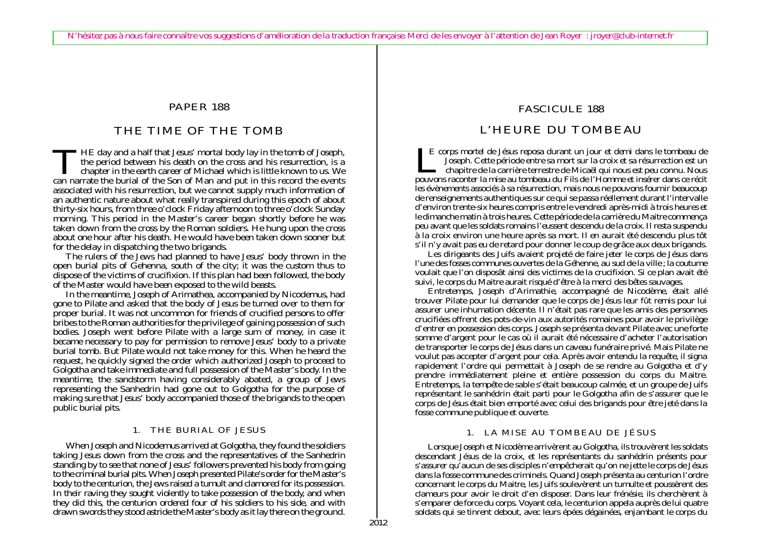### PAPER 188

# THE TIME OF THE TOMB

THE day and a half that Jesus' mortal body lay in the tomb of Joseph, the period between his death on the cross and his resurrection, is a chapter in the earth career of Michael which is little known to us. We can narrate the burial of the Son of Man and put in this record the events associated with his resurrection, but we cannot supply much information of an authentic nature about what really transpired during this epoch of about thirty-six hours, from three o'clock Friday afternoon to three o'clock Sunday morning. This period in the Master's career began shortly before he was taken down from the cross by the Roman soldiers. He hung upon the cross about one hour after his death. He would have been taken down sooner but for the delay in dispatching the two brigands.

The rulers of the Jews had planned to have Jesus' body thrown in the open burial pits of Gehenna, south of the city; it was the custom thus to dispose of the victims of crucifixion. If this plan had been followed, the body of the Master would have been exposed to the wild beasts.

In the meantime, Joseph of Arimathea, accompanied by Nicodemus, had gone to Pilate and asked that the body of Jesus be turned over to them for proper burial. It was not uncommon for friends of crucified persons to offer bribes to the Roman authorities for the privilege of gaining possession of such bodies. Joseph went before Pilate with a large sum of money, in case it became necessary to pay for permission to remove Jesus' body to a private burial tomb. But Pilate would not take money for this. When he heard the request, he quickly signed the order which authorized Joseph to proceed to Golgotha and take immediate and full possession of the Master's body. In the meantime, the sandstorm having considerably abated, a group of Jews representing the Sanhedrin had gone out to Golgotha for the purpose of making sure that Jesus' body accompanied those of the brigands to the open public burial pits.

#### 1. THE BURIAL OF JESUS

When Joseph and Nicodemus arrived at Golgotha, they found the soldiers taking Jesus down from the cross and the representatives of the Sanhedrin standing by to see that none of Jesus' followers prevented his body from going to the criminal burial pits. When Joseph presented Pilate's order for the Master's body to the centurion, the Jews raised a tumult and clamored for its possession. In their raving they sought violently to take possession of the body, and when they did this, the centurion ordered four of his soldiers to his side, and with drawn swords they stood astride the Master's body as it lay there on the ground.

## FASCICULE 188

## L'HEURE DU TOMBEAU

E corps mortel de Jésus reposa durant un jour et demi dans le tombeau de Joseph. Cette période entre sa mort sur la croix et sa résurrection est un E corps mortel de Jésus reposa durant un jour et demi dans le tombeau de Joseph. Cette période entre sa mort sur la croix et sa résurrection est un chapitre de la carrière terrestre de Micaël qui nous est peu connu. Nous pouvons raconter la mise au tombeau du Fils de l'Homme et insérer dans ce récit les évènements associés à sa résurrection, mais nous ne pouvons fournir beaucoup de renseignements authentiques sur ce qui se passa réellement durant l'intervalle d'environ trente-six heures compris entre le vendredi après-midi à trois heures et le dimanche matin à trois heures. Cette période de la carrière du Maitre commença peu avant que les soldats romains l'eussent descendu de la croix. Il resta suspendu à la croix environ une heure après sa mort. Il en aurait été descendu plus tôt s'il n'y avait pas eu de retard pour donner le coup de grâce aux deux brigands.

Les dirigeants des Juifs avaient projeté de faire jeter le corps de Jésus dans l'une des fosses communes ouvertes de la Géhenne, au sud de la ville ; la coutume voulait que l'on disposât ainsi des victimes de la crucifixion. Si ce plan avait été suivi, le corps du Maitre aurait risqué d'être à la merci des bêtes sauvages.

Entretemps, Joseph d'Arimathie, accompagné de Nicodème, était allé trouver Pilate pour lui demander que le corps de Jésus leur fût remis pour lui assurer une inhumation décente. Il n'était pas rare que les amis des personnes crucifiées offrent des pots-de-vin aux autorités romaines pour avoir le privilège d'entrer en possession des corps. Joseph se présenta devant Pilate avec une forte somme d'argent pour le cas où il aurait été nécessaire d'acheter l'autorisation de transporter le corps de Jésus dans un caveau funéraire privé. Mais Pilate ne voulut pas accepter d'argent pour cela. Après avoir entendu la requête, il signa rapidement l'ordre qui permettait à Joseph de se rendre au Golgotha et d'y prendre immédiatement pleine et entière possession du corps du Maitre. Entretemps, la tempête de sable s'était beaucoup calmée, et un groupe de Juifs représentant le sanhédrin était parti pour le Golgotha afin de s'assurer que le corps de Jésus était bien emporté avec celui des brigands pour être jeté dans la fosse commune publique et ouverte.

#### 1. LA MISE AU TOMBEAU DE JÉSUS

Lorsque Joseph et Nicodème arrivèrent au Golgotha, ils trouvèrent les soldats descendant Jésus de la croix, et les représentants du sanhédrin présents pour s'assurer qu'aucun de ses disciples n'empêcherait qu'on ne jette le corps de Jésus dans la fosse commune des criminels. Quand Joseph présenta au centurion l'ordre concernant le corps du Maitre, les Juifs soulevèrent un tumulte et poussèrent des clameurs pour avoir le droit d'en disposer. Dans leur frénésie, ils cherchèrent à s'emparer de force du corps. Voyant cela, le centurion appela auprès de lui quatre soldats qui se tinrent debout, avec leurs épées dégainées, enjambant le corps du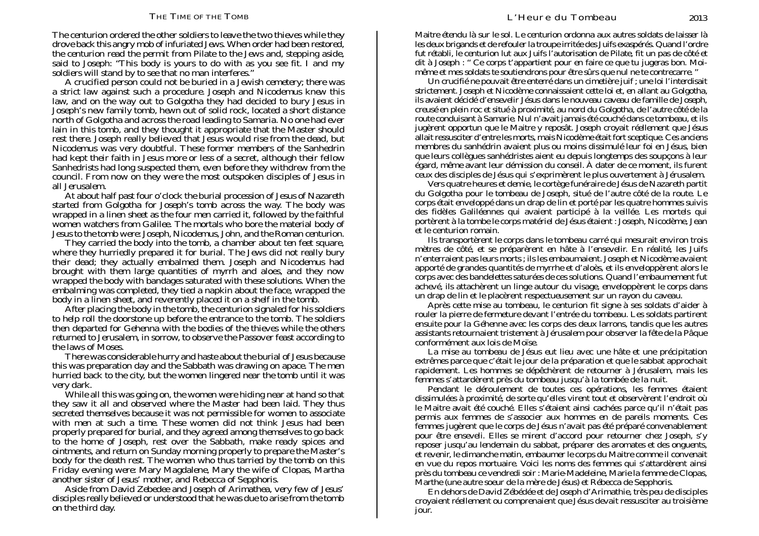#### L'Heure du Tombeau 2013

#### THE TIME OF THE

The centurion ordered the other soldiers to leave the two thieves while they drove back this angry mob of infuriated Jews. When order had been restored, the centurion read the permit from Pilate to the Jews and, stepping aside, said to Joseph: "This body is yours to do with as you see fit. I and my soldiers will stand by to see that no man interferes."

A crucified person could not be buried in a Jewish cemetery; there was a strict law against such a procedure. Joseph and Nicodemus knew this law, and on the way out to Golgotha they had decided to bury Jesus in Joseph's new family tomb, hewn out of solid rock, located a short distance north of Golgotha and across the road leading to Samaria. No one had ever lain in this tomb, and they thought it appropriate that the Master should rest there. Joseph really believed that Jesus would rise from the dead, but Nicodemus was very doubtful. These former members of the Sanhedrin had kept their faith in Jesus more or less of a secret, although their fellow Sanhedrists had long suspected them, even before they withdrew from the council. From now on they were the most outspoken disciples of Jesus in all Jerusalem.

At about half past four o'clock the burial procession of Jesus of Nazareth started from Golgotha for Joseph's tomb across the way. The body was wrapped in a linen sheet as the four men carried it, followed by the faithful women watchers from Galilee. The mortals who bore the material body of Jesus to the tomb were: Joseph, Nicodemus, John, and the Roman centurion.

They carried the body into the tomb, a chamber about ten feet square, where they hurriedly prepared it for burial. The Jews did not really bury their dead; they actually embalmed them. Joseph and Nicodemus had brought with them large quantities of myrrh and aloes, and they now wrapped the body with bandages saturated with these solutions. When the embalming was completed, they tied a napkin about the face, wrapped the body in a linen sheet, and reverently placed it on a shelf in the tomb.

After placing the body in the tomb, the centurion signaled for his soldiers to help roll the doorstone up before the entrance to the tomb. The soldiers then departed for Gehenna with the bodies of the thieves while the others returned to Jerusalem, in sorrow, to observe the Passover feast according to the laws of Moses.

There was considerable hurry and haste about the burial of Jesus because this was preparation day and the Sabbath was drawing on apace. The men hurried back to the city, but the women lingered near the tomb until it was very dark.

While all this was going on, the women were hiding near at hand so that they saw it all and observed where the Master had been laid. They thus secreted themselves because it was not permissible for women to associate with men at such a time. These women did not think Jesus had been properly prepared for burial, and they agreed among themselves to go back to the home of Joseph, rest over the Sabbath, make ready spices and ointments, and return on Sunday morning properly to prepare the Master's body for the death rest. The women who thus tarried by the tomb on this Friday evening were: Mary Magdalene, Mary the wife of Clopas, Martha another sister of Jesus' mother, and Rebecca of Sepphoris.

Aside from David Zebedee and Joseph of Arimathea, very few of Jesus' disciples really believed or understood that he was due to arise from the tomb on the third day.

Maitre étendu là sur le sol. Le centurion ordonna aux autres soldats de laisser là les deux brigands et de refouler la troupe irritée des Juifs exaspérés. Quand l'ordre fut rétabli, le centurion lut aux Juifs l'autorisation de Pilate, fit un pas de côté et dit à Joseph : " Ce corps t'appartient pour en faire ce que tu jugeras bon. Moimême et mes soldats te soutiendrons pour être sûrs que nul ne te contrecarre. "

Un crucifié ne pouvait être enterré dans un cimetière juif ; une loi l'interdisait strictement. Joseph et Nicodème connaissaient cette loi et, en allant au Golgotha, ils avaient décidé d'ensevelir Jésus dans le nouveau caveau de famille de Joseph, creusé en plein roc et situé à proximité, au nord du Golgotha, de l'autre côté de la route conduisant à Samarie. Nul n'avait jamais été couché dans ce tombeau, et ils jugèrent opportun que le Maitre y reposât. Joseph croyait réellement que Jésus allait ressusciter d'entre les morts, mais Nicodème était fort sceptique. Ces anciens membres du sanhédrin avaient plus ou moins dissimulé leur foi en Jésus, bien que leurs collègues sanhédristes aient eu depuis longtemps des soupçons à leur égard, même avant leur démission du conseil. À dater de ce moment, ils furent ceux des disciples de Jésus qui s'exprimèrent le plus ouvertement à Jérusalem.

Vers quatre heures et demie, le cortège funéraire de Jésus de Nazareth partit du Golgotha pour le tombeau de Joseph, situé de l'autre côté de la route. Le corps était enveloppé dans un drap de lin et porté par les quatre hommes suivis des fidèles Galiléennes qui avaient participé à la veillée. Les mortels qui portèrent à la tombe le corps matériel de Jésus étaient : Joseph, Nicodème, Jean et le centurion romain.

Ils transportèrent le corps dans le tombeau carré qui mesurait environ trois mètres de côté, et se préparèrent en hâte à l'ensevelir. En réalité, les Juifs n'enterraient pas leurs morts ; ils les embaumaient. Joseph et Nicodème avaient apporté de grandes quantités de myrrhe et d'aloès, et ils enveloppèrent alors le corps avec des bandelettes saturées de ces solutions. Quand l'embaumement fut achevé, ils attachèrent un linge autour du visage, enveloppèrent le corps dans un drap de lin et le placèrent respectueusement sur un rayon du caveau.

Après cette mise au tombeau, le centurion fit signe à ses soldats d'aider à rouler la pierre de fermeture devant l'entrée du tombeau. Les soldats partirent ensuite pour la Géhenne avec les corps des deux larrons, tandis que les autres assistants retournaient tristement à Jérusalem pour observer la fête de la Pâque conformément aux lois de Moïse.

La mise au tombeau de Jésus eut lieu avec une hâte et une précipitation extrêmes parce que c'était le jour de la préparation et que le sabbat approchait rapidement. Les hommes se dépêchèrent de retourner à Jérusalem, mais les femmes s'attardèrent près du tombeau jusqu'à la tombée de la nuit.

Pendant le déroulement de toutes ces opérations, les femmes étaient dissimulées à proximité, de sorte qu'elles virent tout et observèrent l'endroit où le Maitre avait été couché. Elles s'étaient ainsi cachées parce qu'il n'était pas permis aux femmes de s'associer aux hommes en de pareils moments. Ces femmes jugèrent que le corps de Jésus n'avait pas été préparé convenablement pour être enseveli. Elles se mirent d'accord pour retourner chez Joseph, s'y reposer jusqu'au lendemain du sabbat, préparer des aromates et des onguents, et revenir, le dimanche matin, embaumer le corps du Maitre comme il convenait en vue du repos mortuaire. Voici les noms des femmes qui s'attardèrent ainsi près du tombeau ce vendredi soir : Marie-Madeleine, Marie la femme de Clopas, Marthe (une autre soeur de la mère de Jésus) et Rébecca de Sepphoris.

En dehors de David Zébédée et de Joseph d'Arimathie, très peu de disciples croyaient réellement ou comprenaient que Jésus devait ressusciter au troisième jour.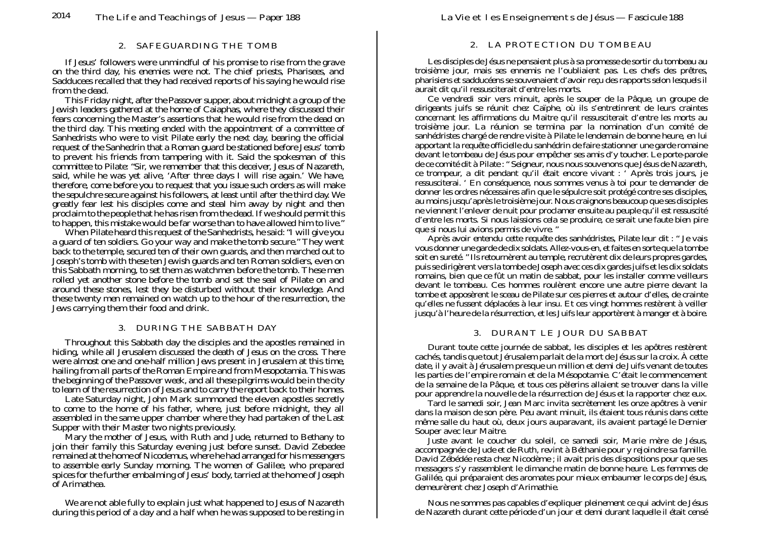#### 2. SAFEGUARDING THE TOMB

If Jesus' followers were unmindful of his promise to rise from the grave on the third day, his enemies were not. The chief priests, Pharisees, and Sadducees recalled that they had received reports of his saying he would rise from the dead.

This Friday night, after the Passover supper, about midnight a group of the Jewish leaders gathered at the home of Caiaphas, where they discussed their fears concerning the Master's assertions that he would rise from the dead on the third day. This meeting ended with the appointment of a committee of Sanhedrists who were to visit Pilate early the next day, bearing the official request of the Sanhedrin that a Roman guard be stationed before Jesus' tomb to prevent his friends from tampering with it. Said the spokesman of this committee to Pilate: "Sir, we remember that this deceiver, Jesus of Nazareth, said, while he was yet alive, 'After three days I will rise again.' We have, therefore, come before you to request that you issue such orders as will make the sepulchre secure against his followers, at least until after the third day. We greatly fear lest his disciples come and steal him away by night and then proclaim to the people that he has risen from the dead. If we should permit this to happen, this mistake would be far worse than to have allowed him to live."

When Pilate heard this request of the Sanhedrists, he said: "I will give you a guard of ten soldiers. Go your way and make the tomb secure." They went back to the temple, secured ten of their own guards, and then marched out to Joseph's tomb with these ten Jewish guards and ten Roman soldiers, even on this Sabbath morning, to set them as watchmen before the tomb. These men rolled yet another stone before the tomb and set the seal of Pilate on and around these stones, lest they be disturbed without their knowledge. And these twenty men remained on watch up to the hour of the resurrection, the Jews carrying them their food and drink.

#### 3. DURING THE SABBATH DAY

Throughout this Sabbath day the disciples and the apostles remained in hiding, while all Jerusalem discussed the death of Jesus on the cross. There were almost one and one-half million Jews present in Jerusalem at this time, hailing from all parts of the Roman Empire and from Mesopotamia. This was the beginning of the Passover week, and all these pilgrims would be in the city to learn of the resurrection of Jesus and to carry the report back to their homes.

Late Saturday night, John Mark summoned the eleven apostles secretly to come to the home of his father, where, just before midnight, they all assembled in the same upper chamber where they had partaken of the Last Supper with their Master two nights previously.

Mary the mother of Jesus, with Ruth and Jude, returned to Bethany to join their family this Saturday evening just before sunset. David Zebedee remained at the home of Nicodemus, where he had arranged for his messengers to assemble early Sunday morning. The women of Galilee, who prepared spices for the further embalming of Jesus' body, tarried at the home of Joseph of Arimathea.

We are not able fully to explain just what happened to Jesus of Nazareth during this period of a day and a half when he was supposed to be resting in

#### 2. LA PROTECTION DU TOMBEAU

Les disciples de Jésus ne pensaient plus à sa promesse de sortir du tombeau au troisième jour, mais ses ennemis ne l'oubliaient pas. Les chefs des prêtres, pharisiens et sadducéens se souvenaient d'avoir reçu des rapports selon lesquels il aurait dit qu'il ressusciterait d'entre les morts.

Ce vendredi soir vers minuit, après le souper de la Pâque, un groupe de dirigeants juifs se réunit chez Caïphe, où ils s'entretinrent de leurs craintes concernant les affirmations du Maitre qu'il ressusciterait d'entre les morts au troisième jour. La réunion se termina par la nomination d'un comité de sanhédristes chargé de rendre visite à Pilate le lendemain de bonne heure, en lui apportant la requête officielle du sanhédrin de faire stationner une garde romaine devant le tombeau de Jésus pour empêcher ses amis d'y toucher. Le porte-parole de ce comité dit à Pilate : " Seigneur, nous nous souvenons que Jésus de Nazareth, ce trompeur, a dit pendant qu'il était encore vivant : ' Après trois jours, je ressusciterai. ' En conséquence, nous sommes venus à toi pour te demander de donner les ordres nécessaires afin que le sépulcre soit protégé contre ses disciples, au moins jusqu'après le troisième jour. Nous craignons beaucoup que ses disciples ne viennent l'enlever de nuit pour proclamer ensuite au peuple qu'il est ressuscité d'entre les morts. Si nous laissions cela se produire, ce serait une faute bien pire que si nous lui avions permis de vivre. "

Après avoir entendu cette requête des sanhédristes, Pilate leur dit : " Je vais vous donner une garde de dix soldats. Allez-vous-en, et faites en sorte que la tombe soit en sureté. " Ils retournèrent au temple, recrutèrent dix de leurs propres gardes, puis se dirigèrent vers la tombe de Joseph avec ces dix gardes juifs et les dix soldats romains, bien que ce fût un matin de sabbat, pour les installer comme veilleurs devant le tombeau. Ces hommes roulèrent encore une autre pierre devant la tombe et apposèrent le sceau de Pilate sur ces pierres et autour d'elles, de crainte qu'elles ne fussent déplacées à leur insu. Et ces vingt hommes restèrent à veiller jusqu'à l'heure de la résurrection, et les Juifs leur apportèrent à manger et à boire.

#### 3. DURANT LE JOUR DU SABBAT

Durant toute cette journée de sabbat, les disciples et les apôtres restèrent cachés, tandis que tout Jérusalem parlait de la mort de Jésus sur la croix. À cette date, il y avait à Jérusalem presque un million et demi de Juifs venant de toutes les parties de l'empire romain et de la Mésopotamie. C'était le commencement de la semaine de la Pâque, et tous ces pèlerins allaient se trouver dans la ville pour apprendre la nouvelle de la résurrection de Jésus et la rapporter chez eux.

Tard le samedi soir, Jean Marc invita secrètement les onze apôtres à venir dans la maison de son père. Peu avant minuit, ils étaient tous réunis dans cette même salle du haut où, deux jours auparavant, ils avaient partagé le Dernier Souper avec leur Maitre.

Juste avant le coucher du soleil, ce samedi soir, Marie mère de Jésus, accompagnée de Jude et de Ruth, revint à Béthanie pour y rejoindre sa famille. David Zébédée resta chez Nicodème ; il avait pris des dispositions pour que ses messagers s'y rassemblent le dimanche matin de bonne heure. Les femmes de Galilée, qui préparaient des aromates pour mieux embaumer le corps de Jésus, demeurèrent chez Joseph d'Arimathie.

Nous ne sommes pas capables d'expliquer pleinement ce qui advint de Jésus de Nazareth durant cette période d'un jour et demi durant laquelle il était censé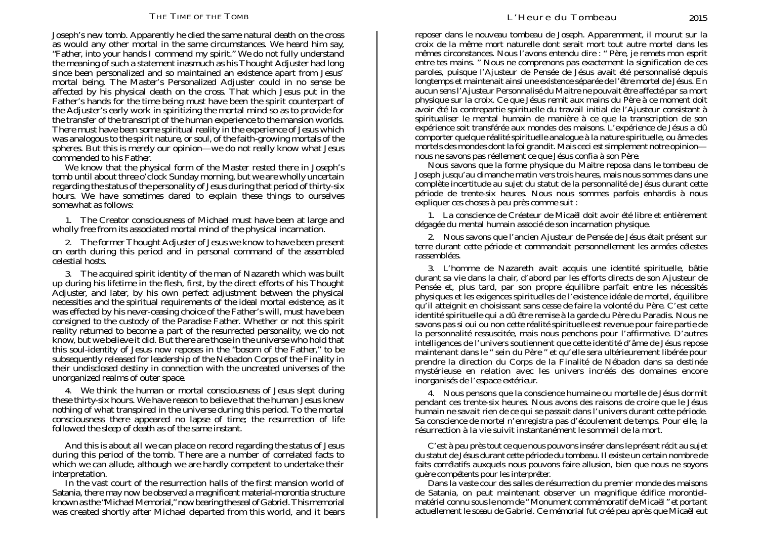#### L'Heure du Tombeau 2015

#### THE TIME OF THE

Joseph's new tomb. Apparently he died the same natural death on the cross as would any other mortal in the same circumstances. We heard him say, "Father, into your hands I commend my spirit." We do not fully understand the meaning of such a statement inasmuch as his Thought Adjuster had long since been personalized and so maintained an existence apart from Jesus' mortal being. The Master's Personalized Adjuster could in no sense be affected by his physical death on the cross. That which Jesus put in the Father's hands for the time being must have been the spirit counterpart of the Adjuster's early work in spiritizing the mortal mind so as to provide for the transfer of the transcript of the human experience to the mansion worlds. There must have been some spiritual reality in the experience of Jesus which was analogous to the spirit nature, or soul, of the faith-growing mortals of the spheres. But this is merely our opinion—we do not really know what Jesus commended to his Father.

We know that the physical form of the Master rested there in Joseph's tomb until about three o'clock Sunday morning, but we are wholly uncertain regarding the status of the personality of Jesus during that period of thirty-six hours. We have sometimes dared to explain these things to ourselves somewhat as follows:

1. The Creator consciousness of Michael must have been at large and wholly free from its associated mortal mind of the physical incarnation.

2. The former Thought Adjuster of Jesus we know to have been present on earth during this period and in personal command of the assembled celestial hosts.

3. The acquired spirit identity of the man of Nazareth which was built up during his lifetime in the flesh, first, by the direct efforts of his Thought Adjuster, and later, by his own perfect adjustment between the physical necessities and the spiritual requirements of the ideal mortal existence, as it was effected by his never-ceasing choice of the Father's will, must have been consigned to the custody of the Paradise Father. Whether or not this spirit reality returned to become a part of the resurrected personality, we do not know, but we believe it did. But there are those in the universe who hold that this soul-identity of Jesus now reposes in the "bosom of the Father," to be subsequently released for leadership of the Nebadon Corps of the Finality in their undisclosed destiny in connection with the uncreated universes of the unorganized realms of outer space.

4. We think the human or mortal consciousness of Jesus slept during these thirty-six hours. We have reason to believe that the human Jesus knew nothing of what transpired in the universe during this period. To the mortal consciousness there appeared no lapse of time; the resurrection of life followed the sleep of death as of the same instant.

And this is about all we can place on record regarding the status of Jesus during this period of the tomb. There are a number of correlated facts to which we can allude, although we are hardly competent to undertake their interpretation.

In the vast court of the resurrection halls of the first mansion world of Satania, there may now be observed a magnificent material-morontia structure known as the "Michael Memorial," now bearing the seal of Gabriel. This memorial was created shortly after Michael departed from this world, and it bears

reposer dans le nouveau tombeau de Joseph. Apparemment, il mourut sur la croix de la même mort naturelle dont serait mort tout autre mortel dans les mêmes circonstances. Nous l'avons entendu dire : " Père, je remets mon esprit entre tes mains. " Nous ne comprenons pas exactement la signification de ces paroles, puisque l'Ajusteur de Pensée de Jésus avait été personnalisé depuis longtemps et maintenait ainsi une existence séparée de l'être mortel de Jésus. En aucun sens l'Ajusteur Personnalisé du Maitre ne pouvait être affecté par sa mort physique sur la croix. Ce que Jésus remit aux mains du Père à ce moment doit avoir été la contrepartie spirituelle du travail initial de l'Ajusteur consistant à spiritualiser le mental humain de manière à ce que la transcription de son expérience soit transférée aux mondes des maisons. L'expérience de Jésus a dû comporter quelque réalité spirituelle analogue à la nature spirituelle, ou âme des mortels des mondes dont la foi grandit. Mais ceci est simplement notre opinion nous ne savons pas réellement ce que Jésus confia à son Père.

Nous savons que la forme physique du Maitre reposa dans le tombeau de Joseph jusqu'au dimanche matin vers trois heures, mais nous sommes dans une complète incertitude au sujet du statut de la personnalité de Jésus durant cette période de trente-six heures. Nous nous sommes parfois enhardis à nous expliquer ces choses à peu près comme suit :

1. La conscience de Créateur de Micaël doit avoir été libre et entièrement dégagée du mental humain associé de son incarnation physique.

2. Nous savons que l'ancien Ajusteur de Pensée de Jésus était présent sur terre durant cette période et commandait personnellement les armées célestes rassemblées.

3. L'homme de Nazareth avait acquis une identité spirituelle, bâtie durant sa vie dans la chair, d'abord par les efforts directs de son Ajusteur de Pensée et, plus tard, par son propre équilibre parfait entre les nécessités physiques et les exigences spirituelles de l'existence idéale de mortel, équilibre qu'il atteignit en choisissant sans cesse de faire la volonté du Père. C'est cette identité spirituelle qui a dû être remise à la garde du Père du Paradis. Nous ne savons pas si oui ou non cette réalité spirituelle est revenue pour faire partie de la personnalité ressuscitée, mais nous penchons pour l'affirmative. D'autres intelligences de l'univers soutiennent que cette identité d'âme de Jésus repose maintenant dans le " sein du Père " et qu'elle sera ultérieurement libérée pour prendre la direction du Corps de la Finalité de Nébadon dans sa destinée mystérieuse en relation avec les univers incréés des domaines encore inorganisés de l'espace extérieur.

4. Nous pensons que la conscience humaine ou mortelle de Jésus dormit pendant ces trente-six heures. Nous avons des raisons de croire que le Jésus humain ne savait rien de ce qui se passait dans l'univers durant cette période. Sa conscience de mortel n'enregistra pas d'écoulement de temps. Pour elle, la résurrection à la vie suivit instantanément le sommeil de la mort.

C'est à peu près tout ce que nous pouvons insérer dans le présent récit au sujet du statut de Jésus durant cette période du tombeau. Il existe un certain nombre de faits corrélatifs auxquels nous pouvons faire allusion, bien que nous ne soyons guère compétents pour les interpréter.

Dans la vaste cour des salles de résurrection du premier monde des maisons de Satania, on peut maintenant observer un magnifique édifice morontielmatériel connu sous le nom de " Monument commémoratif de Micaël " et portant actuellement le sceau de Gabriel. Ce mémorial fut créé peu après que Micaël eut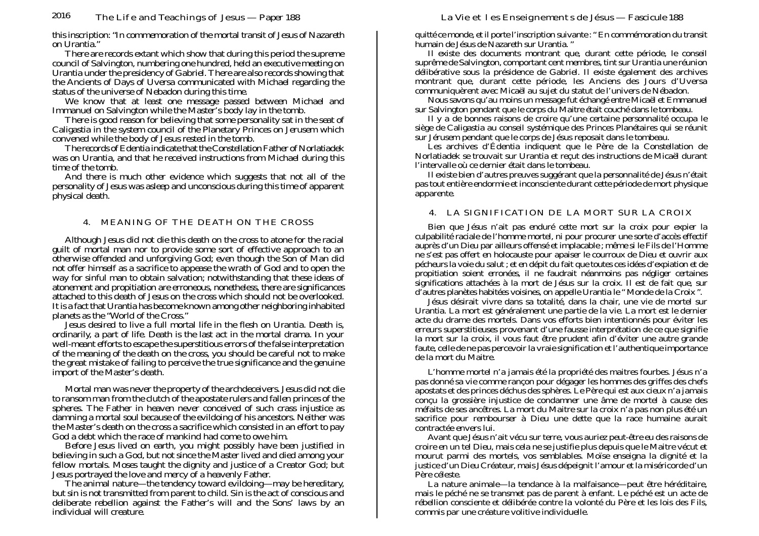this inscription: "In commemoration of the mortal transit of Jesus of Nazareth on Urantia."

There are records extant which show that during this period the supreme council of Salvington, numbering one hundred, held an executive meeting on Urantia under the presidency of Gabriel. There are also records showing that the Ancients of Days of Uversa communicated with Michael regarding the status of the universe of Nebadon during this time.

We know that at least one message passed between Michael and Immanuel on Salvington while the Master's body lay in the tomb.

There is good reason for believing that some personality sat in the seat of Caligastia in the system council of the Planetary Princes on Jerusem which convened while the body of Jesus rested in the tomb.

The records of Edentia indicate that the Constellation Father of Norlatiadek was on Urantia, and that he received instructions from Michael during this time of the tomb.

And there is much other evidence which suggests that not all of the personality of Jesus was asleep and unconscious during this time of apparent physical death.

#### 4. MEANING OF THE DEATH ON THE CROSS

Although Jesus did not die this death on the cross to atone for the racial guilt of mortal man nor to provide some sort of effective approach to an otherwise offended and unforgiving God; even though the Son of Man did not offer himself as a sacrifice to appease the wrath of God and to open the way for sinful man to obtain salvation; notwithstanding that these ideas of atonement and propitiation are erroneous, nonetheless, there are significances attached to this death of Jesus on the cross which should not be overlooked. It is a fact that Urantia has become known among other neighboring inhabited planets as the "World of the Cross."

Jesus desired to live a full mortal life in the flesh on Urantia. Death is, ordinarily, a part of life. Death is the last act in the mortal drama. In your well-meant efforts to escape the superstitious errors of the false interpretation of the meaning of the death on the cross, you should be careful not to make the great mistake of failing to perceive the true significance and the genuine import of the Master's death.

Mortal man was never the property of the archdeceivers. Jesus did not die to ransom man from the clutch of the apostate rulers and fallen princes of the spheres. The Father in heaven never conceived of such crass injustice as damning a mortal soul because of the evildoing of his ancestors. Neither was the Master's death on the cross a sacrifice which consisted in an effort to pay God a debt which the race of mankind had come to owe him.

Before Jesus lived on earth, you might possibly have been justified in believing in such a God, but not since the Master lived and died among your fellow mortals. Moses taught the dignity and justice of a Creator God; but Jesus portrayed the love and mercy of a heavenly Father.

The animal nature—the tendency toward evildoing—may be hereditary, but sin is not transmitted from parent to child. Sin is the act of conscious and deliberate rebellion against the Father's will and the Sons' laws by an individual will creature.

quitté ce monde, et il porte l'inscription suivante : " En commémoration du transit humain de Jésus de Nazareth sur Urantia. "

Il existe des documents montrant que, durant cette période, le conseil suprême de Salvington, comportant cent membres, tint sur Urantia une réunion délibérative sous la présidence de Gabriel. Il existe également des archives montrant que, durant cette période, les Anciens des Jours d'Uversa communiquèrent avec Micaël au sujet du statut de l'univers de Nébadon.

Nous savons qu'au moins un message fut échangé entre Micaël et Emmanuel sur Salvington pendant que le corps du Maitre était couché dans le tombeau.

Il y a de bonnes raisons de croire qu'une certaine personnalité occupa le siège de Caligastia au conseil systémique des Princes Planétaires qui se réunit

sur Jérusem pendant que le corps de Jésus reposait dans le tombeau. Les archives d'Édentia indiquent que le Père de la Constellation de Norlatiadek se trouvait sur Urantia et reçut des instructions de Micaël durant l'intervalle où ce dernier était dans le tombeau.

Il existe bien d'autres preuves suggérant que la personnalité de Jésus n'était pas tout entière endormie et inconsciente durant cette période de mort physique apparente.

#### 4. LA SIGNIFICATION DE LA MORT SUR LA CROIX

Bien que Jésus n'ait pas enduré cette mort sur la croix pour expier la culpabilité raciale de l'homme mortel, ni pour procurer une sorte d'accès effectif auprès d'un Dieu par ailleurs offensé et implacable ; même si le Fils de l'Homme ne s'est pas offert en holocauste pour apaiser le courroux de Dieu et ouvrir aux pécheurs la voie du salut ; et en dépit du fait que toutes ces idées d'expiation et de propitiation soient erronées, il ne faudrait néanmoins pas négliger certaines significations attachées à la mort de Jésus sur la croix. Il est de fait que, sur d'autres planètes habitées voisines, on appelle Urantia le " Monde de la Croix ".

Jésus désirait vivre dans sa totalité, dans la chair, une vie de mortel sur Urantia. La mort est généralement une partie de la vie. La mort est le dernier acte du drame des mortels. Dans vos efforts bien intentionnés pour éviter les erreurs superstitieuses provenant d'une fausse interprétation de ce que signifie la mort sur la croix, il vous faut être prudent afin d'éviter une autre grande faute, celle de ne pas percevoir la vraie signification et l'authentique importance de la mort du Maitre.

L'homme mortel n'a jamais été la propriété des maitres fourbes. Jésus n'a pas donné sa vie comme rançon pour dégager les hommes des griffes des chefs apostats et des princes déchus des sphères. Le Père qui est aux cieux n'a jamais conçu la grossière injustice de condamner une âme de mortel à cause des méfaits de ses ancêtres. La mort du Maitre sur la croix n'a pas non plus été un sacrifice pour rembourser à Dieu une dette que la race humaine aurait contractée envers lui.

Avant que Jésus n'ait vécu sur terre, vous auriez peut-être eu des raisons de croire en un tel Dieu, mais cela ne se justifie plus depuis que le Maitre vécut et mourut parmi des mortels, vos semblables. Moïse enseigna la dignité et la justice d'un Dieu Créateur, mais Jésus dépeignit l'amour et la miséricorde d'un Père céleste.

La nature animale—la tendance à la malfaisance—peut être héréditaire, mais le péché ne se transmet pas de parent à enfant. Le péché est un acte de rébellion consciente et délibérée contre la volonté du Père et les lois des Fils, commis par une créature volitive individuelle.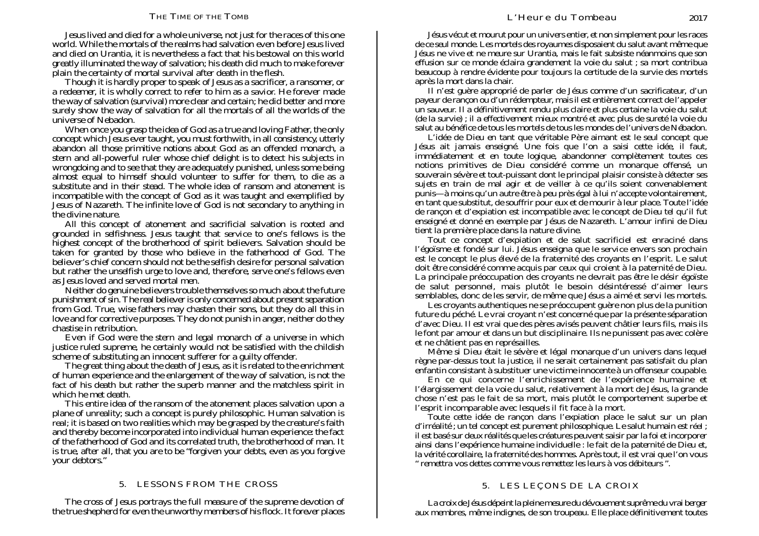### THE TIME OF THE

Jesus lived and died for a whole universe, not just for the races of this one world. While the mortals of the realms had salvation even before Jesus lived and died on Urantia, it is nevertheless a fact that his bestowal on this world greatly illuminated the way of salvation; his death did much to make forever plain the certainty of mortal survival after death in the flesh.

Though it is hardly proper to speak of Jesus as a sacrificer, a ransomer, or a redeemer, it is wholly correct to refer to him as a *savior.* He forever made the way of salvation (survival) more clear and certain; he did better and more surely show the way of salvation for all the mortals of all the worlds of the universe of Nebadon.

When once you grasp the idea of God as a true and loving Father, the only concept which Jesus ever taught, you must forthwith, in all consistency, utterly abandon all those primitive notions about God as an offended monarch, a stern and all-powerful ruler whose chief delight is to detect his subjects in wrongdoing and to see that they are adequately punished, unless some being almost equal to himself should volunteer to suffer for them, to die as a substitute and in their stead. The whole idea of ransom and atonement is incompatible with the concept of God as it was taught and exemplified by Jesus of Nazareth. The infinite love of God is not secondary to anything in the divine nature.

All this concept of atonement and sacrificial salvation is rooted and grounded in selfishness. Jesus taught that *service* to one's fellows is the highest concept of the brotherhood of spirit believers. Salvation should be taken for granted by those who believe in the fatherhood of God. The believer's chief concern should not be the selfish desire for personal salvation but rather the unselfish urge to love and, therefore, serve one's fellows even as Jesus loved and served mortal men.

Neither do genuine believers trouble themselves so much about the future punishment of sin. The real believer is only concerned about present separation from God. True, wise fathers may chasten their sons, but they do all this in love and for corrective purposes. They do not punish in anger, neither do they chastise in retribution.

Even if God were the stern and legal monarch of a universe in which justice ruled supreme, he certainly would not be satisfied with the childish scheme of substituting an innocent sufferer for a guilty offender.

The great thing about the death of Jesus, as it is related to the enrichment of human experience and the enlargement of the way of salvation, is not the *fact* of his death but rather the superb manner and the matchless spirit in which he met death.

This entire idea of the ransom of the atonement places salvation upon a plane of unreality; such a concept is purely philosophic. Human salvation is *real;* it is based on two realities which may be grasped by the creature's faith and thereby become incorporated into individual human experience: the fact of the fatherhood of God and its correlated truth, the brotherhood of man. It is true, after all, that you are to be "forgiven your debts, even as you forgive your debtors."

#### 5. LESSONS FROM THE CROSS

The cross of Jesus portrays the full measure of the supreme devotion of the true shepherd for even the unworthy members of his flock. It forever places

Jésus vécut et mourut pour un univers entier, et non simplement pour les races de ce seul monde. Les mortels des royaumes disposaient du salut avant même que Jésus ne vive et ne meure sur Urantia, mais le fait subsiste néanmoins que son effusion sur ce monde éclaira grandement la voie du salut ; sa mort contribua beaucoup à rendre évidente pour toujours la certitude de la survie des mortels après la mort dans la chair.

Il n'est guère approprié de parler de Jésus comme d'un sacrificateur, d'un payeur de rançon ou d'un rédempteur, mais il est entièrement correct de l'appeler un *sauveur.* Il a définitivement rendu plus claire et plus certaine la voie du salut (de la survie) ; il a effectivement mieux montré et avec plus de sureté la voie du salut au bénéfice de tous les mortels de tous les mondes de l'univers de Nébadon.

L'idée de Dieu en tant que véritable Père aimant est le seul concept que Jésus ait jamais enseigné. Une fois que l'on a saisi cette idée, il faut, immédiatement et en toute logique, abandonner complètement toutes ces notions primitives de Dieu considéré comme un monarque offensé, un souverain sévère et tout-puissant dont le principal plaisir consiste à détecter ses sujets en train de mal agir et de veiller à ce qu'ils soient convenablement punis—à moins qu'un autre être à peu près égal à lui n'accepte volontairement, en tant que substitut, de souffrir pour eux et de mourir à leur place. Toute l'idée de rançon et d'expiation est incompatible avec le concept de Dieu tel qu'il fut enseigné et donné en exemple par Jésus de Nazareth. L'amour infini de Dieu tient la première place dans la nature divine.

Tout ce concept d'expiation et de salut sacrificiel est enraciné dans l'égoïsme et fondé sur lui. Jésus enseigna que le *service* envers son prochain est le concept le plus élevé de la fraternité des croyants en l'esprit. Le salut doit être considéré comme acquis par ceux qui croient à la paternité de Dieu. La principale préoccupation des croyants ne devrait pas être le désir égoïste de salut personnel, mais plutôt le besoin désintéressé d'aimer leurs semblables, donc de les servir, de même que Jésus a aimé et servi les mortels.

Les croyants authentiques ne se préoccupent guère non plus de la punition future du péché. Le vrai croyant n'est concerné que par la présente séparation d'avec Dieu. Il est vrai que des pères avisés peuvent châtier leurs fils, mais ils le font par amour et dans un but disciplinaire. Ils ne punissent pas avec colère et ne châtient pas en représailles.

Même si Dieu était le sévère et légal monarque d'un univers dans lequel règne par-dessus tout la justice, il ne serait certainement pas satisfait du plan enfantin consistant à substituer une victime innocente à un offenseur coupable.

En ce qui concerne l'enrichissement de l'expérience humaine et l'élargissement de la voie du salut, relativement à la mort de Jésus, la grande chose n'est pas le *fait* de sa mort, mais plutôt le comportement superbe et l'esprit incomparable avec lesquels il fit face à la mort.

Toute cette idée de rançon dans l'expiation place le salut sur un plan d'irréalité ; un tel concept est purement philosophique. Le salut humain est *réel* ; il est basé sur deux réalités que les créatures peuvent saisir par la foi et incorporer ainsi dans l'expérience humaine individuelle : le fait de la paternité de Dieu et, la vérité corollaire, la fraternité des hommes. Après tout, il est vrai que l'on vous " remettra vos dettes comme vous remettez les leurs à vos débiteurs ".

#### 5. LES LEÇONS DE LA CROIX

La croix de Jésus dépeint la pleine mesure du dévouement suprême du vrai berger aux membres, même indignes, de son troupeau. Elle place définitivement toutes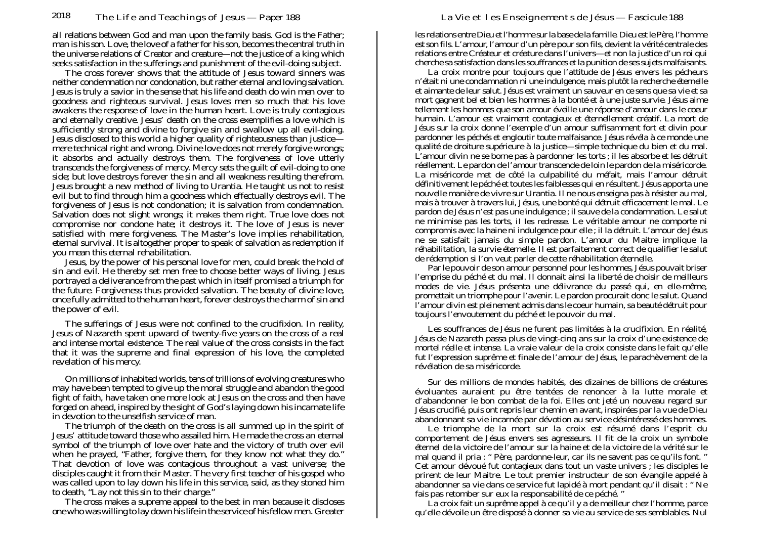all relations between God and man upon the family basis. God is the Father; man is his son. Love, the love of a father for his son, becomes the central truth in the universe relations of Creator and creature—not the justice of a king which seeks satisfaction in the sufferings and punishment of the evil-doing subject.

The cross forever shows that the attitude of Jesus toward sinners was neither condemnation nor condonation, but rather eternal and loving salvation. Jesus is truly a savior in the sense that his life and death do win men over to goodness and righteous survival. Jesus loves men so much that his love awakens the response of love in the human heart. Love is truly contagious and eternally creative. Jesus' death on the cross exemplifies a love which is sufficiently strong and divine to forgive sin and swallow up all evil-doing. Jesus disclosed to this world a higher quality of righteousness than justice mere technical right and wrong. Divine love does not merely forgive wrongs; it absorbs and actually destroys them. The forgiveness of love utterly transcends the forgiveness of mercy. Mercy sets the guilt of evil-doing to one side; but love destroys forever the sin and all weakness resulting therefrom. Jesus brought a new method of living to Urantia. He taught us not to resist evil but to find through him a goodness which effectually destroys evil. The forgiveness of Jesus is not condonation; it is salvation from condemnation. Salvation does not slight wrongs; it *makes them right.* True love does not compromise nor condone hate; it destroys it. The love of Jesus is never satisfied with mere forgiveness. The Master's love implies rehabilitation, eternal survival. It is altogether proper to speak of salvation as redemption if you mean this eternal rehabilitation.

Jesus, by the power of his personal love for men, could break the hold of sin and evil. He thereby set men free to choose better ways of living. Jesus portrayed a deliverance from the past which in itself promised a triumph for the future. Forgiveness thus provided salvation. The beauty of divine love, once fully admitted to the human heart, forever destroys the charm of sin and the power of evil.

The sufferings of Jesus were not confined to the crucifixion. In reality, Jesus of Nazareth spent upward of twenty-five years on the cross of a real and intense mortal existence. The real value of the cross consists in the fact that it was the supreme and final expression of his love, the completed revelation of his mercy.

On millions of inhabited worlds, tens of trillions of evolving creatures who may have been tempted to give up the moral struggle and abandon the good fight of faith, have taken one more look at Jesus on the cross and then have forged on ahead, inspired by the sight of God's laying down his incarnate life in devotion to the unselfish service of man.

The triumph of the death on the cross is all summed up in the spirit of Jesus' attitude toward those who assailed him. He made the cross an eternal symbol of the triumph of love over hate and the victory of truth over evil when he prayed, "Father, forgive them, for they know not what they do." That devotion of love was contagious throughout a vast universe; the disciples caught it from their Master. The very first teacher of his gospel who was called upon to lay down his life in this service, said, as they stoned him to death, "Lay not this sin to their charge."

The cross makes a supreme appeal to the best in man because it discloses one who was willing to lay down his life in the service of his fellow men. Greater les relations entre Dieu et l'homme sur la base de la famille. Dieu est le Père, l'homme est son fils. L'amour, l'amour d'un père pour son fils, devient la vérité centrale des relations entre Créateur et créature dans l'univers—et non la justice d'un roi qui cherche sa satisfaction dans les souffrances et la punition de ses sujets malfaisants.

La croix montre pour toujours que l'attitude de Jésus envers les pécheurs n'était ni une condamnation ni une indulgence, mais plutôt la recherche éternelle et aimante de leur salut. Jésus est vraiment un sauveur en ce sens que sa vie et sa mort gagnent bel et bien les hommes à la bonté et à une juste survie. Jésus aime tellement les hommes que son amour éveille une réponse d'amour dans le coeur humain. L'amour est vraiment contagieux et éternellement créatif. La mort de Jésus sur la croix donne l'exemple d'un amour suffisamment fort et divin pour pardonner les péchés et engloutir toute malfaisance. Jésus révéla à ce monde une qualité de droiture supérieure à la justice—simple technique du bien et du mal. L'amour divin ne se borne pas à pardonner les torts ; il les absorbe et les détruit réellement. Le pardon de l'amour transcende de loin le pardon de la miséricorde. La miséricorde met de côté la culpabilité du méfait, mais l'amour détruit définitivement le péché et toutes les faiblesses qui en résultent. Jésus apporta une nouvelle manière de vivre sur Urantia. Il ne nous enseigna pas à résister au mal, mais à trouver à travers lui, Jésus, une bonté qui détruit efficacement le mal. Le pardon de Jésus n'est pas une indulgence ; il sauve de la condamnation. Le salut ne minimise pas les torts, *il les redresse.* Le véritable amour ne comporte ni compromis avec la haine ni indulgence pour elle ; il la détruit. L'amour de Jésus ne se satisfait jamais du simple pardon. L'amour du Maitre implique la réhabilitation, la survie éternelle. Il est parfaitement correct de qualifier le salut de rédemption si l'on veut parler de cette réhabilitation éternelle.

Par le pouvoir de son amour personnel pour les hommes, Jésus pouvait briser l'emprise du péché et du mal. Il donnait ainsi la liberté de choisir de meilleurs modes de vie. Jésus présenta une délivrance du passé qui, en elle-même, promettait un triomphe pour l'avenir. Le pardon procurait donc le salut. Quand l'amour divin est pleinement admis dans le coeur humain, sa beauté détruit pour toujours l'envoutement du péché et le pouvoir du mal.

Les souffrances de Jésus ne furent pas limitées à la crucifixion. En réalité, Jésus de Nazareth passa plus de vingt-cinq ans sur la croix d'une existence de mortel réelle et intense. La vraie valeur de la croix consiste dans le fait qu'elle fut l'expression suprême et finale de l'amour de Jésus, le parachèvement de la révélation de sa miséricorde.

Sur des millions de mondes habités, des dizaines de billions de créatures évoluantes auraient pu être tentées de renoncer à la lutte morale et d'abandonner le bon combat de la foi. Elles ont jeté un nouveau regard sur Jésus crucifié, puis ont repris leur chemin en avant, inspirées par la vue de Dieu abandonnant sa vie incarnée par dévotion au service désintéressé des hommes.

Le triomphe de la mort sur la croix est résumé dans l'esprit du comportement de Jésus envers ses agresseurs. Il fit de la croix un symbole éternel de la victoire de l'amour sur la haine et de la victoire de la vérité sur le mal quand il pria : " Père, pardonne-leur, car ils ne savent pas ce qu'ils font. " Cet amour dévoué fut contagieux dans tout un vaste univers ; les disciples le prirent de leur Maitre. Le tout premier instructeur de son évangile appelé à abandonner sa vie dans ce service fut lapidé à mort pendant qu'il disait : " Ne fais pas retomber sur eux la responsabilité de ce péché. "

La croix fait un suprême appel à ce qu'il y a de meilleur chez l'homme, parce qu'elle dévoile un être disposé à donner sa vie au service de ses semblables. Nul